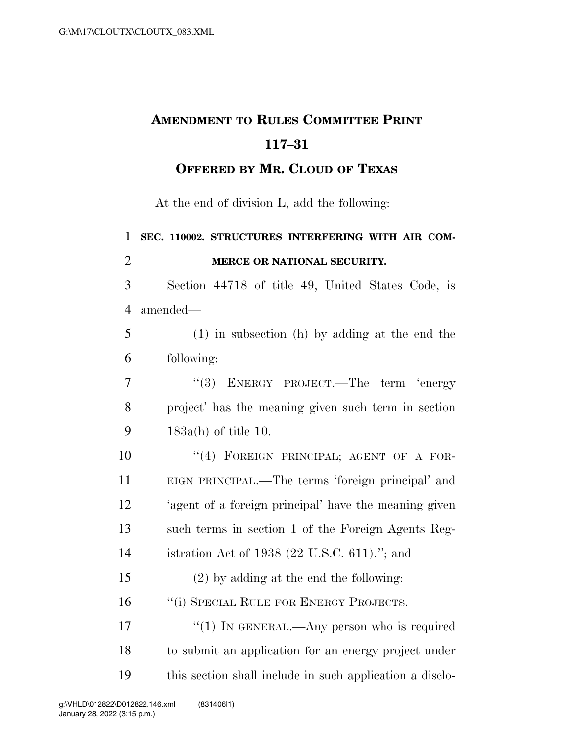## **AMENDMENT TO RULES COMMITTEE PRINT 117–31**

**OFFERED BY MR. CLOUD OF TEXAS**

At the end of division L, add the following:

| 1              | SEC. 110002. STRUCTURES INTERFERING WITH AIR COM-        |
|----------------|----------------------------------------------------------|
| $\overline{2}$ | MERCE OR NATIONAL SECURITY.                              |
| 3              | Section 44718 of title 49, United States Code, is        |
| $\overline{4}$ | amended-                                                 |
| 5              | $(1)$ in subsection (h) by adding at the end the         |
| 6              | following:                                               |
| 7              | ENERGY PROJECT.—The term 'energy<br>(3)                  |
| 8              | project' has the meaning given such term in section      |
| 9              | $183a(h)$ of title 10.                                   |
| 10             | "(4) FOREIGN PRINCIPAL; AGENT OF A FOR-                  |
| 11             | EIGN PRINCIPAL.—The terms 'foreign principal' and        |
| 12             | 'agent of a foreign principal' have the meaning given    |
| 13             | such terms in section 1 of the Foreign Agents Reg-       |
| 14             | istration Act of 1938 (22 U.S.C. 611)."; and             |
| 15             | $(2)$ by adding at the end the following:                |
| 16             | "(i) SPECIAL RULE FOR ENERGY PROJECTS.—                  |
| 17             | "(1) IN GENERAL.—Any person who is required              |
| 18             | to submit an application for an energy project under     |
| 19             | this section shall include in such application a disclo- |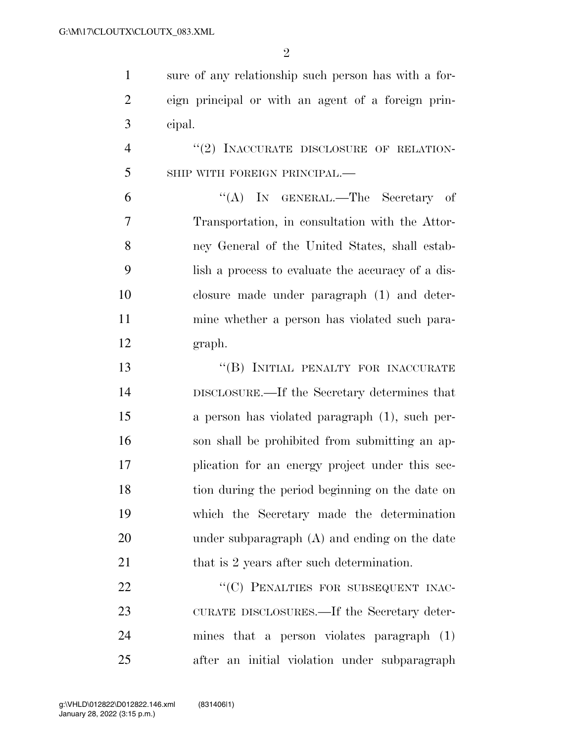$\mathfrak{D}$ 

 sure of any relationship such person has with a for- eign principal or with an agent of a foreign prin-cipal.

4 "(2) INACCURATE DISCLOSURE OF RELATION-SHIP WITH FOREIGN PRINCIPAL.—

 ''(A) IN GENERAL.—The Secretary of Transportation, in consultation with the Attor- ney General of the United States, shall estab- lish a process to evaluate the accuracy of a dis- closure made under paragraph (1) and deter- mine whether a person has violated such para-graph.

13 "(B) INITIAL PENALTY FOR INACCURATE DISCLOSURE.—If the Secretary determines that a person has violated paragraph (1), such per- son shall be prohibited from submitting an ap- plication for an energy project under this sec- tion during the period beginning on the date on which the Secretary made the determination under subparagraph (A) and ending on the date 21 that is 2 years after such determination.

22 "
(C) PENALTIES FOR SUBSEQUENT INAC- CURATE DISCLOSURES.—If the Secretary deter- mines that a person violates paragraph (1) after an initial violation under subparagraph